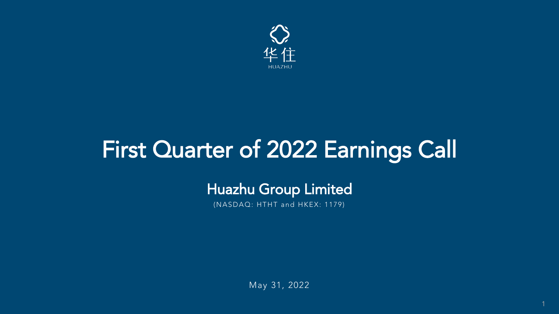## First Quarter of 2022 Earnings Call

## Huazhu Group Limited

May 31, 2022

(NASDAQ: HTHT and HKEX: 1179)



1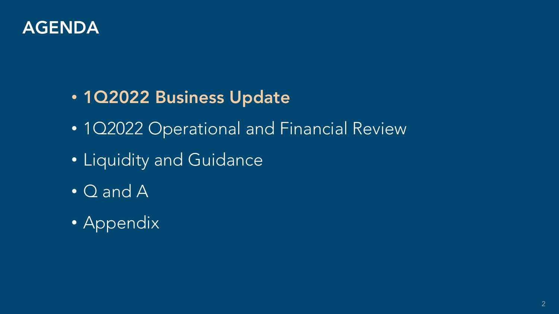

• 1Q2022 Business Update • 1Q2022 Operational and Financial Review • Liquidity and Guidance • Q and A

• Appendix

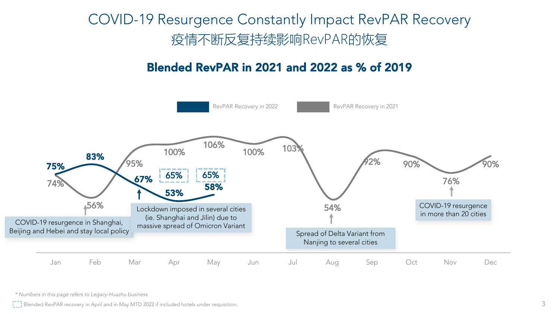*\* Numbers in this page refers to Legacy-Huazhu business*

Blended RevPAR recovery in April and in May MTD 2022 if included hotels under requisition.





## COVID-19 Resurgence Constantly Impact RevPAR Recovery 疫情不断反复持续影响RevPAR的恢复

## Blended RevPAR in 2021 and 2022 as % of 2019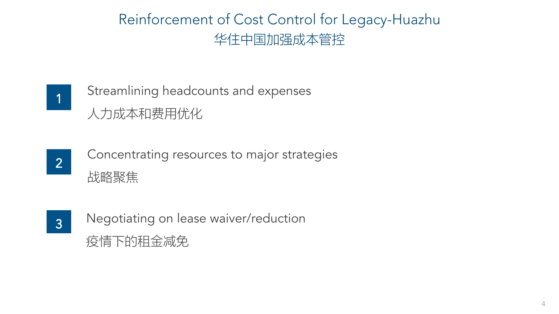## Reinforcement of Cost Control for Legacy-Huazhu 华住中国加强成本管控







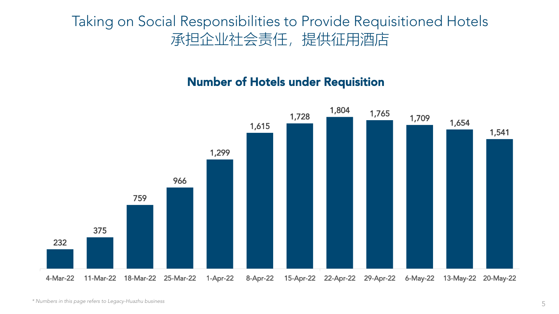## Taking on Social Responsibilities to Provide Requisitioned Hotels 承担企业社会责任,提供征用酒店



*\* Numbers in this page refers to Legacy-Huazhu business* 

## Number of Hotels under Requisition

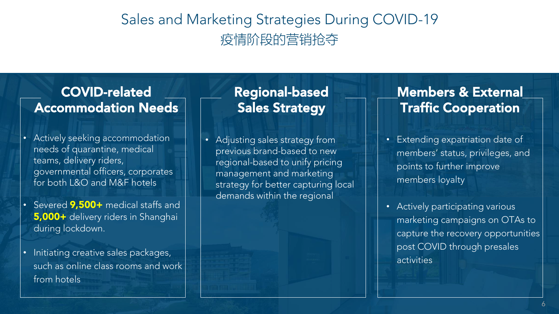

- Actively seeking accommodation needs of quarantine, medical teams, delivery riders, governmental officers, corporates for both L&O and M&F hotels
- Severed 9,500+ medical staffs and 5,000+ delivery riders in Shanghai during lockdown.
- Initiating creative sales packages, such as online class rooms and work from hotels

- **Extending expatriation date of** members' status, privileges, and points to further improve members loyalty
- Actively participating various marketing campaigns on OTAs to capture the recovery opportunities post COVID through presales activities

## COVID-related Accommodation Needs

## Members & External Traffic Cooperation

• Adjusting sales strategy from previous brand-based to new regional-based to unify pricing management and marketing strategy for better capturing local demands within the regional

## Regional-based Sales Strategy

## Sales and Marketing Strategies During COVID-19 疫情阶段的营销抢夺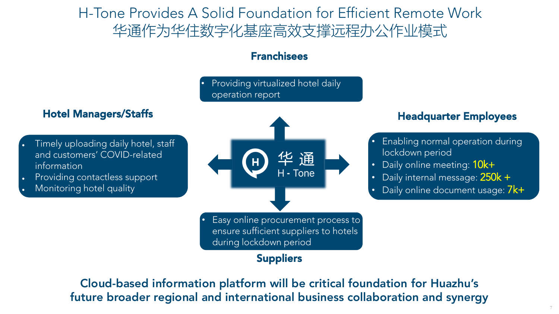7

## H-Tone Provides A Solid Foundation for Efficient Remote Work 华通作为华住数字化基座高效支撑远程办公作业模式

### Providing virtualized hotel daily operation report

Easy online procurement process to ensure sufficient suppliers to hotels during lockdown period

- Timely uploading daily hotel, staff and customers' COVID-related information
- Providing contactless support
- Monitoring hotel quality

## Franchisees

- **Enabling normal operation during** lockdown period
- Daily online meeting:  $10k+$
- Daily internal message: 250k +
- Daily online document usage: 7k+



## Suppliers

Cloud-based information platform will be critical foundation for Huazhu's future broader regional and international business collaboration and synergy

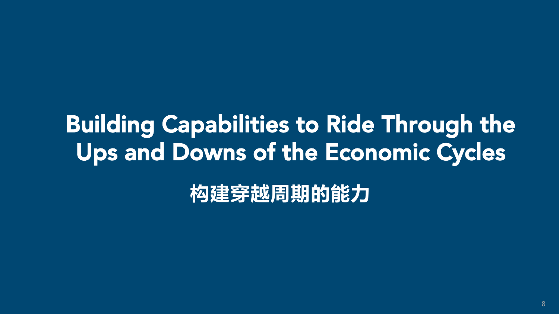**构建穿越周期的能力**



## Building Capabilities to Ride Through the Ups and Downs of the Economic Cycles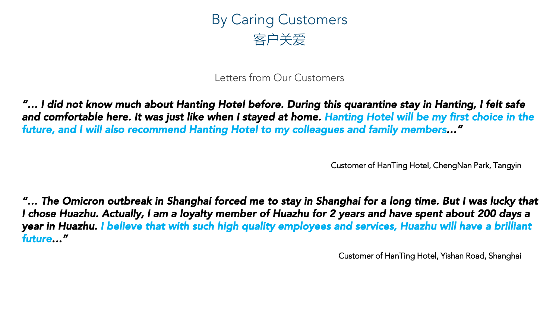

*"… I did not know much about Hanting Hotel before. During this quarantine stay in Hanting, I felt safe and comfortable here. It was just like when I stayed at home. Hanting Hotel will be my first choice in the future, and I will also recommend Hanting Hotel to my colleagues and family members…"*

Customer of HanTing Hotel, ChengNan Park, Tangyin

**"... The Omicron outbreak in Shanghai forced me to stay in Shanghai for a long time. But I was lucky that** *I chose Huazhu. Actually, I am a loyalty member of Huazhu for 2 years and have spent about 200 days a year in Huazhu. I believe that with such high quality employees and services, Huazhu will have a brilliant future…"*

Letters from Our Customers

Customer of HanTing Hotel, Yishan Road, Shanghai



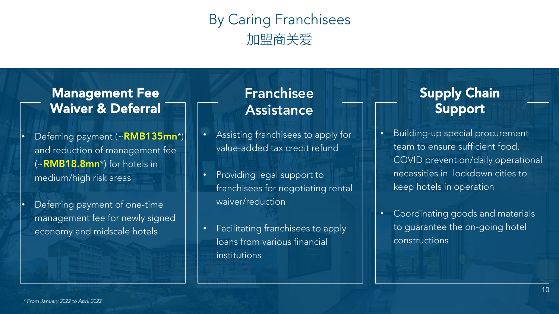## By Caring Franchisees 加盟商关爱



Deferring payment (~RMB135mn\*) and reduction of management fee  $(\sim$ RMB18.8mn<sup>\*</sup>) for hotels in medium/high risk areas

Deferring payment of one-time management fee for newly signed economy and midscale hotels

• Assisting franchisees to apply for value-added tax credit refund

## Franchisee Assistance

## Supply Chain Support

## Management Fee Waiver & Deferral

Building-up special procurement team to ensure sufficient food, COVID prevention/daily operational necessities in lockdown cities to keep hotels in operation

• Providing legal support to franchisees for negotiating rental waiver/reduction

• Facilitating franchisees to apply loans from various financial institutions

• Coordinating goods and materials to guarantee the on-going hotel constructions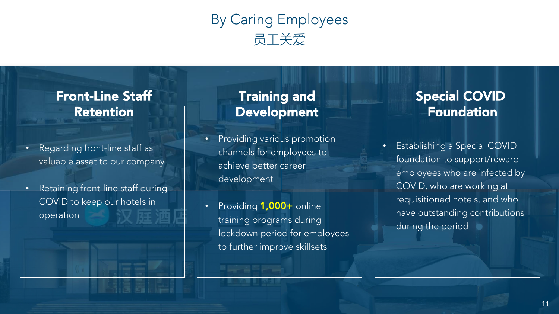## By Caring Employees 员工关爱

11

- Regarding front-line staff as valuable asset to our company
- Retaining front-line staff during COVID to keep our hotels in operation

## Training and Development

## Special COVID Foundation

## Front-Line Staff Retention

- Providing various promotion channels for employees to achieve better career development
- Providing 1,000+ online training programs during lockdown period for employees to further improve skillsets

**RALL RALE** 

• Establishing a Special COVID foundation to support/reward employees who are infected by COVID, who are working at requisitioned hotels, and who have outstanding contributions during the period

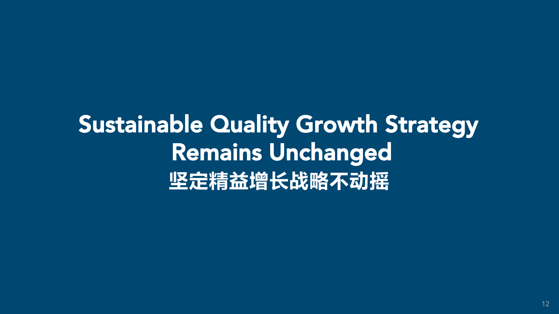12

## **坚定精益增长战略不动摇** Sustainable Quality Growth Strategy Remains Unchanged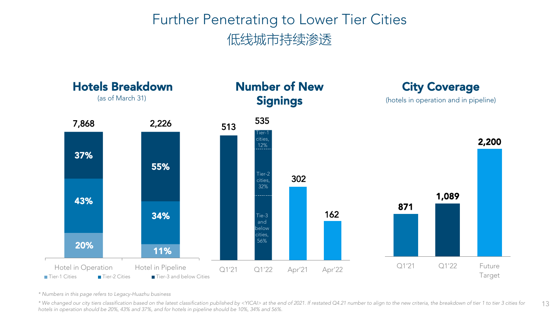## Further Penetrating to Lower Tier Cities 低线城市持续渗透



*\* Numbers in this page refers to Legacy-Huazhu business* 

\*We changed our city tiers classification based on the latest classification published by <YICAI> at the end of 2021. If restated Q4.21 number to align to the new criteria, the breakdown of tier 1 to tier 3 cities for *hotels in operation should be 20%, 43% and 37%, and for hotels in pipeline should be 10%, 34% and 56%.*



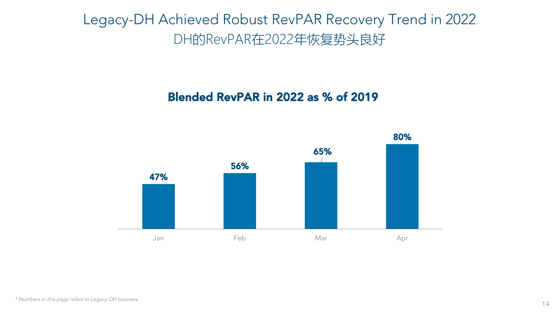



*\* Numbers in this page refers to Legacy-DH business* 



## Legacy-DH Achieved Robust RevPAR Recovery Trend in 2022 DH的RevPAR在2022年恢复势头良好

## Blended RevPAR in 2022 as % of 2019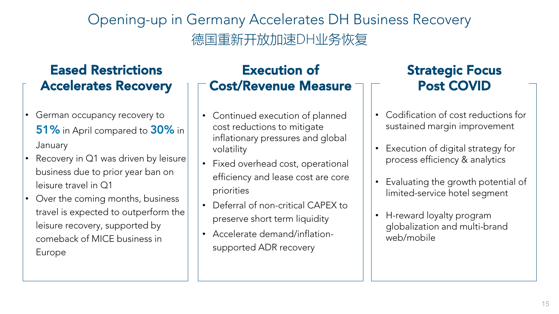## Opening-up in Germany Accelerates DH Business Recovery 德国重新开放加速DH业务恢复



- German occupancy recovery to 51% in April compared to 30% in **January**
- Recovery in Q1 was driven by leisure business due to prior year ban on leisure travel in Q1
- Over the coming months, business travel is expected to outperform the leisure recovery, supported by comeback of MICE business in Europe

Continued execution of planned cost reductions to mitigate inflationary pressures and global

## Eased Restrictions Accelerates Recovery

- Codification of cost reductions for sustained margin improvement
- Execution of digital strategy for process efficiency & analytics
- Evaluating the growth potential of limited-service hotel segment
- H-reward loyalty program globalization and multi-brand web/mobile



- volatility
- priorities
- 
- 

• Fixed overhead cost, operational efficiency and lease cost are core

• Deferral of non-critical CAPEX to preserve short term liquidity • Accelerate demand/inflationsupported ADR recovery

## Execution of Cost/Revenue Measure

## Strategic Focus Post COVID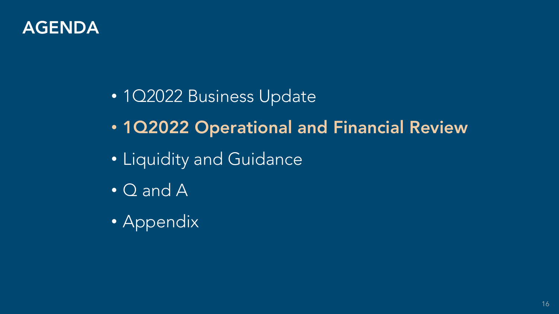

# • 1Q2022 Operational and Financial Review



• 1Q2022 Business Update • Liquidity and Guidance • Q and A

• Appendix

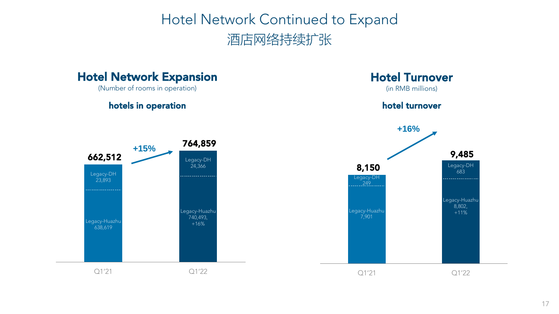## Hotel Network Continued to Expand 酒店网络持续扩张



## Hotel Network Expansion

(Number of rooms in operation)





 $Q1'21$   $Q1'22$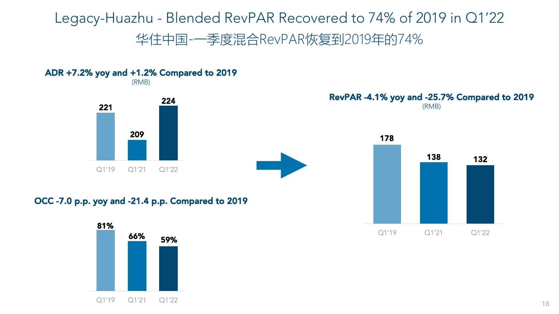## Legacy-Huazhu - Blended RevPAR Recovered to 74% of 2019 in Q1'22 华住中国-一季度混合RevPAR恢复到2019年的74%

18

OCC -7.0 p.p. yoy and -21.4 p.p. Compared to 2019

RevPAR -4.1% yoy and -25.7% Compared to 2019 (RMB)

ADR +7.2% yoy and +1.2% Compared to 2019 (RMB)









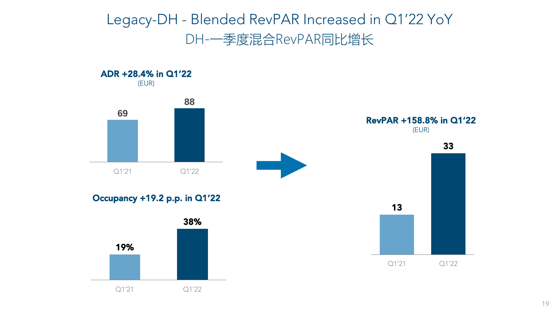## Legacy-DH - Blended RevPAR Increased in Q1'22 YoY DH-一季度混合RevPAR同比增长



### Occupancy +19.2 p.p. in Q1'22









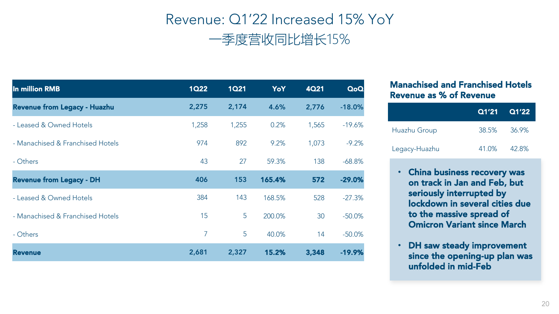## Revenue: Q1'22 Increased 15% YoY 一季度营收同比增长15%





| In million RMB                   | <b>1Q22</b> | <b>1Q21</b> | YoY    | <b>4Q21</b> | QoQ       |
|----------------------------------|-------------|-------------|--------|-------------|-----------|
| Revenue from Legacy - Huazhu     | 2,275       | 2,174       | 4.6%   | 2,776       | $-18.0%$  |
| - Leased & Owned Hotels          | 1,258       | 1,255       | 0.2%   | 1,565       | $-19.6%$  |
| - Manachised & Franchised Hotels | 974         | 892         | 9.2%   | 1,073       | $-9.2\%$  |
| - Others                         | 43          | 27          | 59.3%  | 138         | $-68.8\%$ |
| <b>Revenue from Legacy - DH</b>  | 406         | 153         | 165.4% | 572         | $-29.0%$  |
| - Leased & Owned Hotels          | 384         | 143         | 168.5% | 528         | $-27.3%$  |
| - Manachised & Franchised Hotels | 15          | 5           | 200.0% | 30          | $-50.0\%$ |
| - Others                         |             | 5           | 40.0%  | 14          | $-50.0\%$ |
| <b>Revenue</b>                   | 2,681       | 2,327       | 15.2%  | 3,348       | $-19.9%$  |

- China business recovery was on track in Jan and Feb, but seriously interrupted by lockdown in several cities due to the massive spread of Omicron Variant since March
- DH saw steady improvement since the opening-up plan was unfolded in mid-Feb



### Manachised and Franchised Hotels Revenue as % of Revenue









|               | Q1'21 Q1'22 |             |
|---------------|-------------|-------------|
| Huazhu Group  | 38.5% 36.9% |             |
| Legacy-Huazhu |             | 41.0% 42.8% |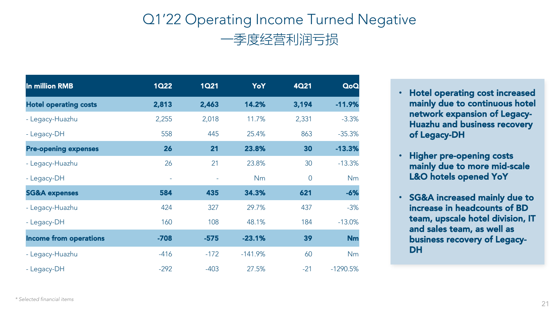## Q1'22 Operating Income Turned Negative 一季度经营利润亏损



- Hotel operating cost increased mainly due to continuous hotel network expansion of Legacy-Huazhu and business recovery of Legacy-DH
- Higher pre-opening costs mainly due to more mid-scale L&O hotels opened YoY
- SG&A increased mainly due to increase in headcounts of BD team, upscale hotel division, IT and sales team, as well as business recovery of Legacy-DH



| In million RMB                | 1Q22     | <b>1Q21</b> | YoY        | 4021           | QoQ         |
|-------------------------------|----------|-------------|------------|----------------|-------------|
| <b>Hotel operating costs</b>  | 2,813    | 2,463       | 14.2%      | 3,194          | $-11.9%$    |
| - Legacy-Huazhu               | 2,255    | 2,018       | 11.7%      | 2,331          | $-3.3%$     |
| - Legacy-DH                   | 558      | 445         | 25.4%      | 863            | $-35.3%$    |
| <b>Pre-opening expenses</b>   | 26       | 21          | 23.8%      | 30             | $-13.3%$    |
| - Legacy-Huazhu               | 26       | 21          | 23.8%      | 30             | $-13.3%$    |
| - Legacy-DH                   | $\equiv$ |             | Nm         | $\overline{0}$ | <b>Nm</b>   |
| <b>SG&amp;A expenses</b>      | 584      | 435         | 34.3%      | 621            | $-6%$       |
| - Legacy-Huazhu               | 424      | 327         | 29.7%      | 437            | $-3%$       |
| - Legacy-DH                   | 160      | 108         | 48.1%      | 184            | $-13.0\%$   |
| <b>Income from operations</b> | $-708$   | $-575$      | $-23.1%$   | 39             | <b>Nm</b>   |
| - Legacy-Huazhu               | $-416$   | $-172$      | $-141.9\%$ | 60             | <b>Nm</b>   |
| - Legacy-DH                   | $-292$   | $-403$      | 27.5%      | $-21$          | $-1290.5\%$ |

*\* Selected financial items*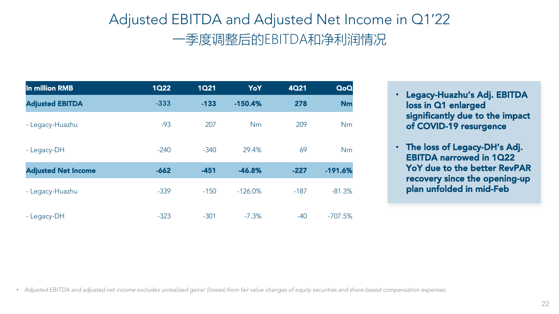## Adjusted EBITDA and Adjusted Net Income in Q1'22 一季度调整后的EBITDA和净利润情况



- Legacy-Huazhu's Adj. EBITDA loss in Q1 enlarged significantly due to the impact of COVID-19 resurgence
- The loss of Legacy-DH's Adj. EBITDA narrowed in 1Q22 YoY due to the better RevPAR recovery since the opening-up plan unfolded in mid-Feb



| In million RMB             | <b>1Q22</b> | <b>1Q21</b> | YoY        | 4021   | QoQ       |
|----------------------------|-------------|-------------|------------|--------|-----------|
| <b>Adjusted EBITDA</b>     | $-333$      | $-133$      | $-150.4%$  | 278    | <b>Nm</b> |
| - Legacy-Huazhu            | $-93$       | 207         | <b>Nm</b>  | 209    | Nm        |
| - Legacy-DH                | $-240$      | $-340$      | 29.4%      | 69     | Nm        |
| <b>Adjusted Net Income</b> | $-662$      | $-451$      | $-46.8%$   | $-227$ | $-191.6%$ |
| - Legacy-Huazhu            | $-339$      | $-150$      | $-126.0\%$ | $-187$ | $-81.3%$  |
| - Legacy-DH                | $-323$      | $-301$      | $-7.3\%$   | $-40$  | $-707.5%$ |

• *Adjusted EBITDA and adjusted net income excludes unrealized gains/ (losses) from fair value changes of equity securities and share-based compensation expenses.*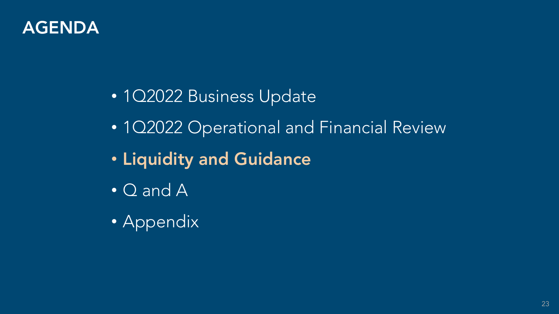

## • 1Q2022 Operational and Financial Review

• 1Q2022 Business Update • Liquidity and Guidance • Q and A • Appendix

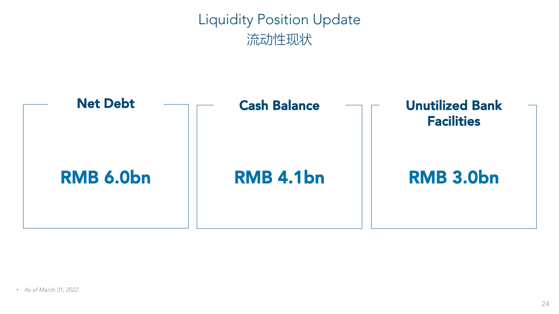Liquidity Position Update 流动性现状





## RMB 4.1bn Cash Balance

## RMB 3.0bn



## Unutilized Bank Facilities

• *As of March 31, 2022*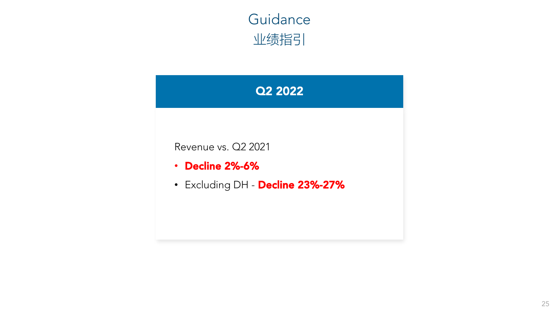Q2 2022









Revenue vs. Q2 2021

- Decline 2%-6%
- Excluding DH Decline 23%-27%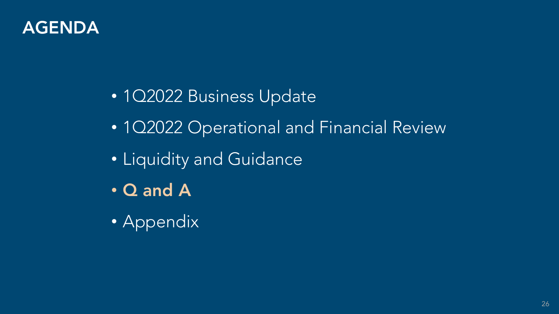

• 1Q2022 Business Update • Liquidity and Guidance • Q and A

• Appendix

## • 102022 Operational and Financial Review

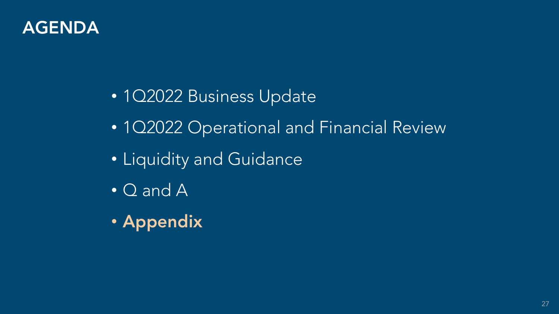

## • 1Q2022 Operational and Financial Review

• 1Q2022 Business Update • Liquidity and Guidance • Q and A • Appendix

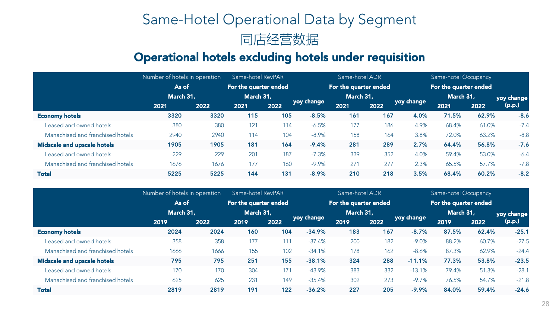## Same-Hotel Operational Data by Segment







## Operational hotels excluding hotels under requisition

|                                    | Number of hotels in operation |      | Same-hotel RevPAR     |      |            | Same-hotel ADR        |      |            | Same-hotel Occupancy  |       |            |
|------------------------------------|-------------------------------|------|-----------------------|------|------------|-----------------------|------|------------|-----------------------|-------|------------|
|                                    | As of                         |      | For the quarter ended |      |            | For the quarter ended |      |            | For the quarter ended |       |            |
|                                    | March 31,                     |      | March 31,             |      |            | March 31,             |      |            | March 31,             |       | yoy change |
|                                    | 2021                          | 2022 | 2021                  | 2022 | yoy change | 2021                  | 2022 | yoy change | 2021                  | 2022  | (p.p.)     |
| <b>Economy hotels</b>              | 3320                          | 3320 | 115                   | 105  | $-8.5%$    | 161                   | 167  | 4.0%       | 71.5%                 | 62.9% | $-8.6$     |
| Leased and owned hotels            | 380                           | 380  | 121                   | 114  | $-6.5%$    | 177                   | 186  | 4.9%       | 68.4%                 | 61.0% | $-7.4$     |
| Manachised and franchised hotels   | 2940                          | 2940 | 114                   | 104  | $-8.9\%$   | 158                   | 164  | 3.8%       | 72.0%                 | 63.2% | $-8.8$     |
| <b>Midscale and upscale hotels</b> | 1905                          | 1905 | 181                   | 164  | $-9.4%$    | 281                   | 289  | 2.7%       | 64.4%                 | 56.8% | $-7.6$     |
| Leased and owned hotels            | 229                           | 229  | 201                   | 187  | $-7.3%$    | 339                   | 352  | 4.0%       | 59.4%                 | 53.0% | $-6.4$     |
| Manachised and franchised hotels   | 1676                          | 1676 | 177                   | 160  | $-9.9\%$   | 271                   | 277  | 2.3%       | 65.5%                 | 57.7% | $-7.8$     |
| <b>Total</b>                       | 5225                          | 5225 | 144                   | 131  | $-8.9%$    | 210                   | 218  | 3.5%       | 68.4%                 | 60.2% | $-8.2$     |
|                                    |                               |      |                       |      |            |                       |      |            |                       |       |            |

|                                  | Number of hotels in operation |      | Same-hotel RevPAR     |      |            | Same-hotel ADR        |           |              | Same-hotel Occupancy  |       |            |
|----------------------------------|-------------------------------|------|-----------------------|------|------------|-----------------------|-----------|--------------|-----------------------|-------|------------|
|                                  | As of                         |      | For the quarter ended |      |            | For the quarter ended |           |              | For the quarter ended |       |            |
|                                  | March 31,                     |      | March 31,             |      |            |                       | March 31, |              | March 31,             |       | yoy change |
|                                  | 2019                          | 2022 | 2019                  | 2022 | yoy change | 2019                  | 2022      | yoy change l | 2019                  | 2022  | (p.p.)     |
| <b>Economy hotels</b>            | 2024                          | 2024 | 160                   | 104  | $-34.9%$   | 183                   | 167       | $-8.7%$      | 87.5%                 | 62.4% | $-25.1$    |
| Leased and owned hotels          | 358                           | 358  | 177                   | 111  | $-37.4%$   | 200                   | 182       | $-9.0\%$     | 88.2%                 | 60.7% | $-27.5$    |
| Manachised and franchised hotels | 1666                          | 1666 | 155                   | 102  | $-34.1%$   | 178                   | 162       | $-8.6%$      | 87.3%                 | 62.9% | $-24.4$    |
| Midscale and upscale hotels      | 795                           | 795  | 251                   | 155  | $-38.1%$   | 324                   | 288       | $-11.1%$     | 77.3%                 | 53.8% | $-23.5$    |
| Leased and owned hotels          | 170                           | 170  | 304                   | 171  | $-43.9\%$  | 383                   | 332       | $-13.1%$     | 79.4%                 | 51.3% | $-28.1$    |
| Manachised and franchised hotels | 625                           | 625  | 231                   | 149  | $-35.4%$   | 302                   | 273       | $-9.7\%$     | 76.5%                 | 54.7% | $-21.8$    |
| <b>Total</b>                     | 2819                          | 2819 | 191                   | 122  | $-36.2%$   | 227                   | 205       | $-9.9%$      | 84.0%                 | 59.4% | $-24.6$    |